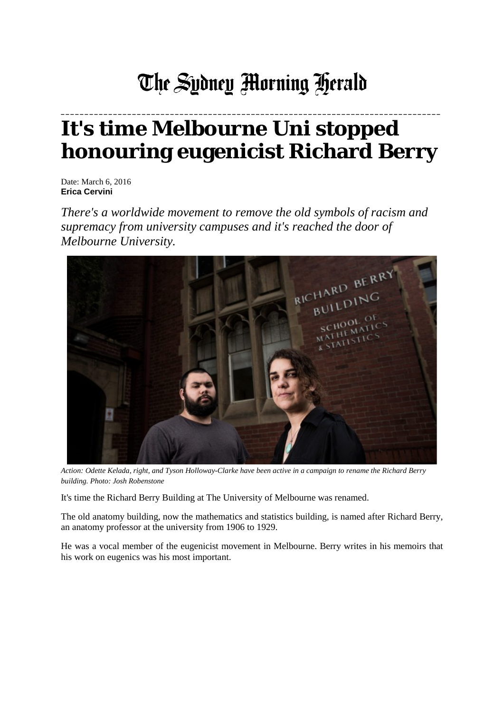## The Sydney Morning Herald

## **It's time Melbourne Uni stopped honouring eugenicist Richard Berry**

**\_\_\_\_\_\_\_\_\_\_\_\_\_\_\_\_\_\_\_\_\_\_\_\_\_\_\_\_\_\_\_\_\_\_\_\_\_\_\_\_\_\_\_\_\_\_\_\_\_\_\_\_\_\_\_\_\_\_\_\_\_\_\_\_\_\_\_\_\_\_\_\_\_\_\_\_\_\_\_\_**

Date: March 6, 2016 **Erica Cervini**

*There's a worldwide movement to remove the old symbols of racism and supremacy from university campuses and it's reached the door of Melbourne University.*



*Action: Odette Kelada, right, and Tyson Holloway-Clarke have been active in a campaign to rename the Richard Berry building. Photo: Josh Robenstone*

It's time the Richard Berry Building at The University of Melbourne was renamed.

The old anatomy building, now the mathematics and statistics building, is named after Richard Berry, an anatomy professor at the university from 1906 to 1929.

He was a vocal member of the eugenicist movement in Melbourne. Berry writes in his memoirs that his work on eugenics was his most important.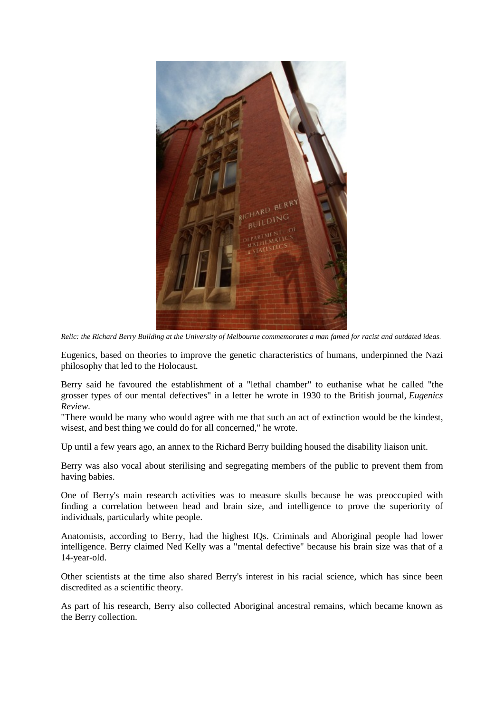

*Relic: the Richard Berry Building at the University of Melbourne commemorates a man famed for racist and outdated ideas*.

Eugenics, based on theories to improve the genetic characteristics of humans, underpinned the Nazi philosophy that led to the Holocaust.

Berry said he favoured the establishment of a "lethal chamber" to euthanise what he called "the grosser types of our mental defectives" in a letter he wrote in 1930 to the British journal, *Eugenics Review*.

"There would be many who would agree with me that such an act of extinction would be the kindest, wisest, and best thing we could do for all concerned," he wrote.

Up until a few years ago, an annex to the Richard Berry building housed the disability liaison unit.

Berry was also vocal about sterilising and segregating members of the public to prevent them from having babies.

One of Berry's main research activities was to measure skulls because he was preoccupied with finding a correlation between head and brain size, and intelligence to prove the superiority of individuals, particularly white people.

Anatomists, according to Berry, had the highest IQs. Criminals and Aboriginal people had lower intelligence. Berry claimed Ned Kelly was a "mental defective" because his brain size was that of a 14-year-old.

Other scientists at the time also shared Berry's interest in his racial science, which has since been discredited as a scientific theory.

As part of his research, Berry also collected Aboriginal ancestral remains, which became known as the Berry collection.